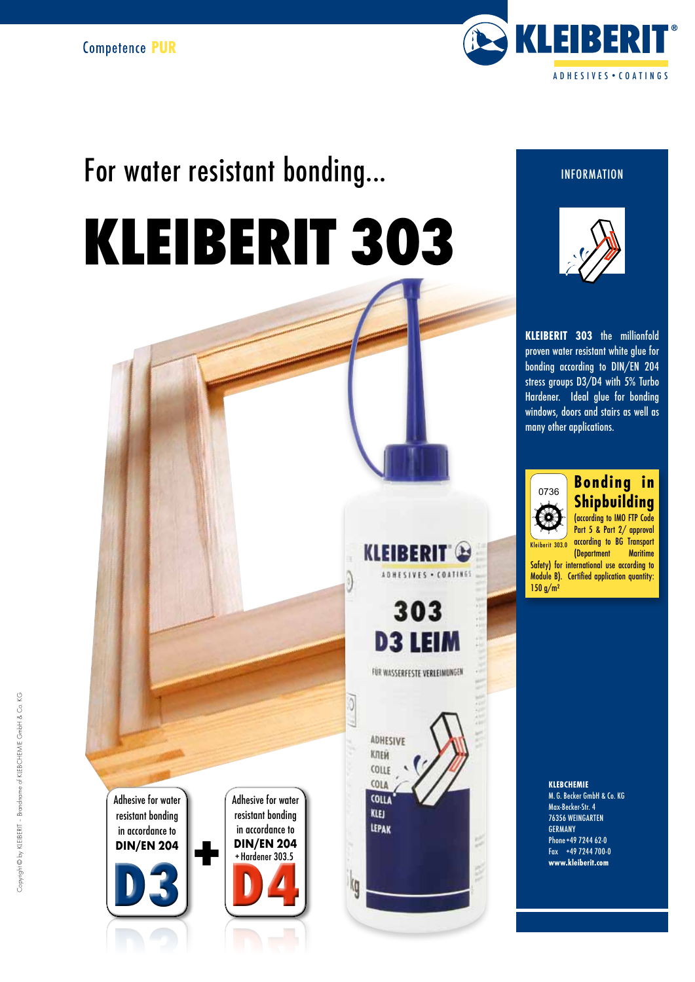

# For water resistant bonding...

# KLEIBERIT 303

Adhesive for water resistant bonding in accordance to DIN/EN 204

 $\underline{\mathsf{D3}}$ D3

 $\frac{1}{2}$ Adhesive for water resistant bonding in accordance to DIN/EN 204 Hordener 303.5 in accordance to<br>DIN/EN 204<br>+Hardener 303.5<br>-



O

Ig

**KLEIBERIT B** ADHESIVES . COATINGS

303

**INFORMATION** 



KLEIBERIT 303 the millionfold proven water resistant white glue for bonding according to DIN/EN 204 stress groups D3/D4 with 5% Turbo Hardener. Ideal glue for bonding windows, doors and stairs as well as many other applications.



### Bonding in Shipbuilding

(according to IMO FTP Code Part 5 & Part 2/ approval according to BG Transport (Department Maritime Safety) for international use according to Module B). Certified application quantity: 150 g/m²  $crit$  303.0

> KLEBCHEMIE M. G. Becker GmbH & Co. KG Max-Becker-Str. 4 76356 WEINGARTEN GERMANY Phone+49 7244 62-0 Fax +49 7244 700-0 www.kleiberit.com